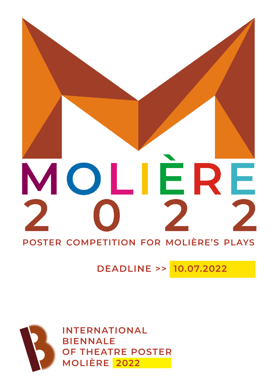

# **DEADLINE >> 10.07.2022**



**INTERNATIONAL BIENNALE OF THEATRE POSTER Molière 2022**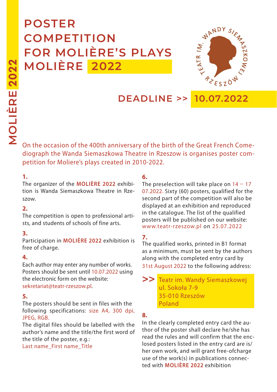# **POSTER COMPETITION FOR Molière's plays Molière 2022**



**DEADLINE >> 10.07.2022**

On the occasion of the 400th anniversary of the birth of the great french comediograph the Wanda Siemaszkowa Theatre in Rzeszow is organises poster competition for Moliere's plays created in 2010-2022.

#### **1.**

The organizer of the **Molière 2022** exhibition is Wanda Siemaszkowa Theatre in Rzeszow.

#### **2.**

The competition is open to professional artists, and students of schools of fine arts.

#### **3.**

Participation in **Molière 2022** exhibition is free of charge.

#### **4.**

Each author may enter any number of works. Posters should be sent until 10.07.2022 using the electronic form on the website: sekretariat@teatr-rzeszow.pl.

#### **5.**

The posters should be sent in files with the following specifications: size A4, 300 dpi, JPEG, RGB.

The digital files should be labelled with the author's name and the title/the first word of the title of the poster, e.g.:

Last name\_First name\_Title

# **6.**

The preselection will take place on  $14 - 17$ 07.2022. Sixty (60) posters, qualified for the second part of the competition will also be displayed at an exhibition and reproduced in the catalogue. The list of the qualified posters will be published on our website: www.teatr-rzeszow.pl on 25.07.2022

# **7.**

The qualified works, printed in B1 format as a minimum, must be sent by the authors along with the completed entry card by 31st August 2022 to the following address:

 >> Teatr im. Wandy Siemaszkowej ul. Sokoła 7-9 35-010 Rzeszów Poland

# **8.**

In the clearly completed entry card the author of the poster shall declare he/she has read the rules and will confirm that the enclosed posters listed in the entry card are is/ her own work, and will grant free-ofcharge use of the work(s) in publications connected with **Molière 2022** exhibition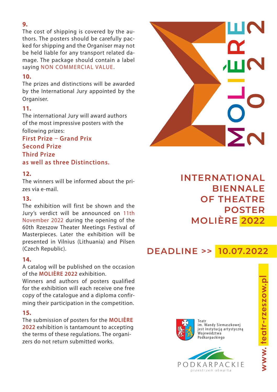#### **9.**

The cost of shipping is covered by the authors. The posters should be carefully packed for shipping and the Organiser may not be held liable for any transport related damage. The package should contain a label saying NON COMMERCIAL VALUE.

#### **10.**

The prizes and distinctions will be awarded by the International Jury appointed by the Organiser.

# **11.**

The international Jury will award authors of the most impressive posters with the following prizes:

# **First Prize** ̶ **Grand Prix Second Prize Third Prize as well as three Distinctions.**

# **12.**

The winners will be informed about the prizes via e-mail.

# **13.**

The exhibition will first be shown and the Jury's verdict will be announced on 11th November 2022 during the opening of the 60th Rzeszow Theater Meetings Festival of Masterpieces. Later the exhibition will be presented in Vilnius (Lithuania) and Pilsen (Czech Republic).

# **14.**

A catalog will be published on the occasion of the **Molière 2022** exhibition.

Winners and authors of posters qualified for the exhibition will each receive one free copy of the catalogue and a diploma confirming their participation in the competition.

# **15.**

The submission of posters for the **Molière 2022** exhibition is tantamount to accepting the terms of these regulations. The organizers do not return submitted works.



# **INTERNATIONAL BIENNALE OF THEATRE POSTER Molière 2022**

# **DEADLINE >> 10.07.2022**



Teatr im. Wandy Siemaszkowej jest instytucją artystyczną .<br>Województwa Podkarpackiego